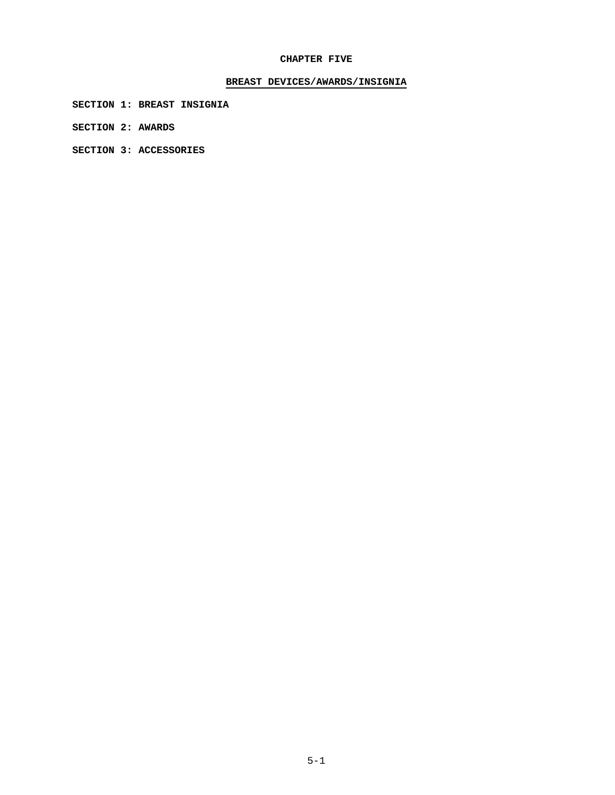# **BREAST DEVICES/AWARDS/INSIGNIA**

**SECTION 1: BREAST INSIGNIA** 

**SECTION 2: AWARDS** 

**SECTION 3: ACCESSORIES**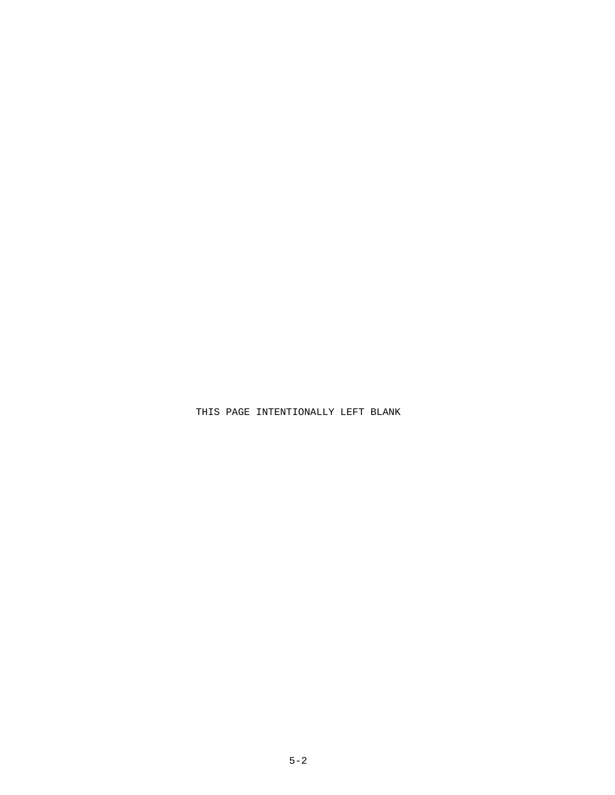THIS PAGE INTENTIONALLY LEFT BLANK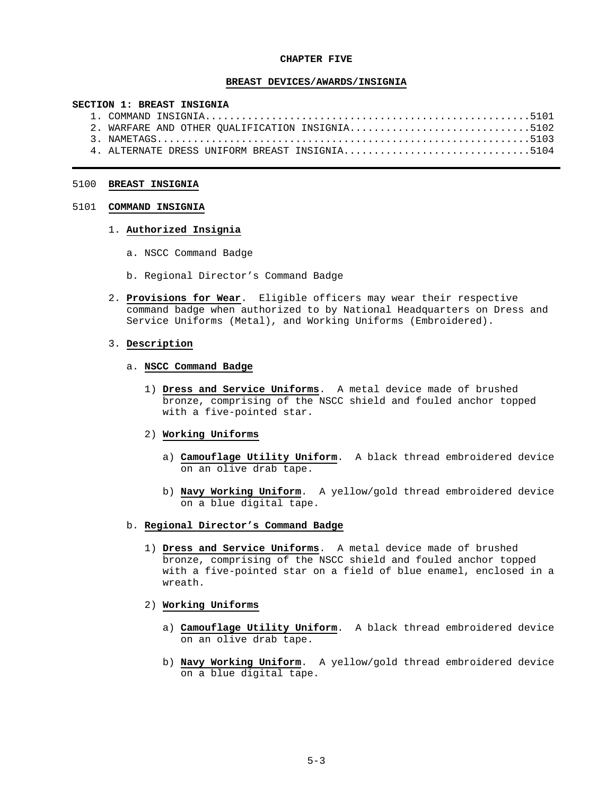### **BREAST DEVICES/AWARDS/INSIGNIA**

# **SECTION 1: BREAST INSIGNIA**

| 2. WARFARE AND OTHER OUALIFICATION INSIGNIA5102 |  |
|-------------------------------------------------|--|
|                                                 |  |
| 4. ALTERNATE DRESS UNIFORM BREAST INSIGNIA5104  |  |

# 5100 **BREAST INSIGNIA**

# 5101 **COMMAND INSIGNIA**

### 1. **Authorized Insignia**

- a. NSCC Command Badge
- b. Regional Director's Command Badge
- 2. **Provisions for Wear**. Eligible officers may wear their respective command badge when authorized to by National Headquarters on Dress and Service Uniforms (Metal), and Working Uniforms (Embroidered).

#### 3. **Description**

## a. **NSCC Command Badge**

1) **Dress and Service Uniforms**. A metal device made of brushed bronze, comprising of the NSCC shield and fouled anchor topped with a five-pointed star.

### 2) **Working Uniforms**

- a) **Camouflage Utility Uniform**. A black thread embroidered device on an olive drab tape.
- b) **Navy Working Uniform**. A yellow/gold thread embroidered device on a blue digital tape.

## b. **Regional Director's Command Badge**

1) **Dress and Service Uniforms**. A metal device made of brushed bronze, comprising of the NSCC shield and fouled anchor topped with a five-pointed star on a field of blue enamel, enclosed in a wreath.

## 2) **Working Uniforms**

- a) **Camouflage Utility Uniform**. A black thread embroidered device on an olive drab tape.
- b) **Navy Working Uniform**. A yellow/gold thread embroidered device on a blue digital tape.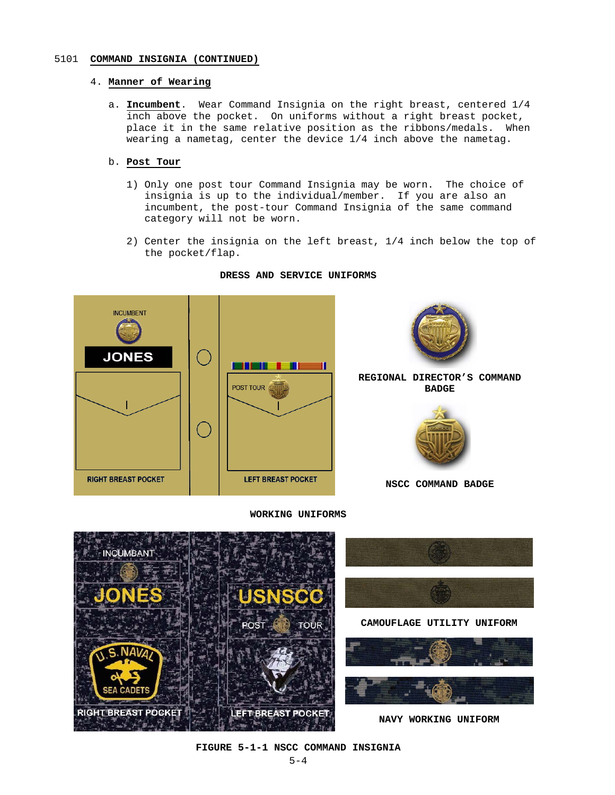## 5101 **COMMAND INSIGNIA (CONTINUED)**

# 4. **Manner of Wearing**

a. **Incumbent**. Wear Command Insignia on the right breast, centered 1/4 inch above the pocket. On uniforms without a right breast pocket, place it in the same relative position as the ribbons/medals. When wearing a nametag, center the device 1/4 inch above the nametag.

## b. **Post Tour**

- 1) Only one post tour Command Insignia may be worn. The choice of insignia is up to the individual/member. If you are also an incumbent, the post-tour Command Insignia of the same command category will not be worn.
- 2) Center the insignia on the left breast, 1/4 inch below the top of the pocket/flap.



**DRESS AND SERVICE UNIFORMS**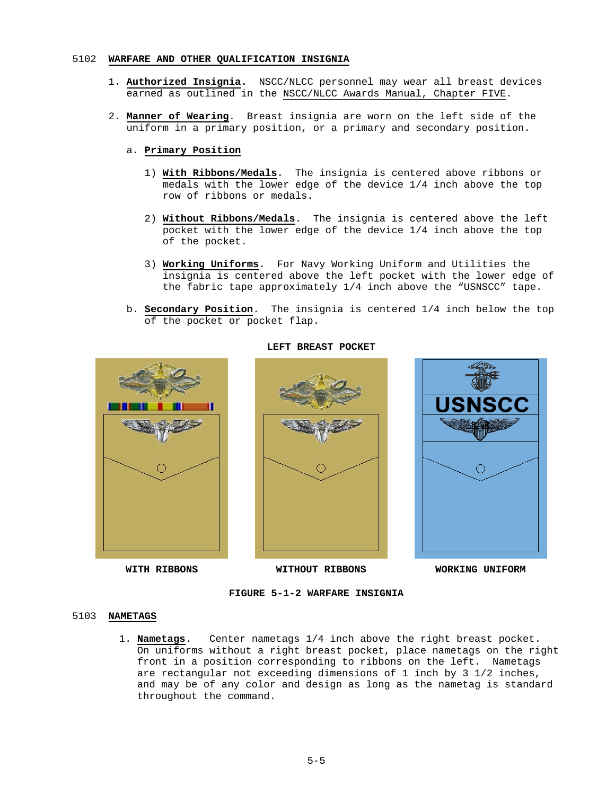### 5102 **WARFARE AND OTHER QUALIFICATION INSIGNIA**

- 1. **Authorized Insignia.** NSCC/NLCC personnel may wear all breast devices earned as outlined in the NSCC/NLCC Awards Manual, Chapter FIVE.
- 2. **Manner of Wearing**. Breast insignia are worn on the left side of the uniform in a primary position, or a primary and secondary position.
	- a. **Primary Position** 
		- 1) **With Ribbons/Medals**. The insignia is centered above ribbons or medals with the lower edge of the device 1/4 inch above the top row of ribbons or medals.
		- 2) **Without Ribbons/Medals**. The insignia is centered above the left pocket with the lower edge of the device 1/4 inch above the top of the pocket.
		- 3) **Working Uniforms**. For Navy Working Uniform and Utilities the insignia is centered above the left pocket with the lower edge of the fabric tape approximately 1/4 inch above the "USNSCC" tape.
	- b. **Secondary Position**. The insignia is centered 1/4 inch below the top of the pocket or pocket flap.



## **LEFT BREAST POCKET**





**WITH RIBBONS WITHOUT RIBBONS WORKING UNIFORM** 

**FIGURE 5-1-2 WARFARE INSIGNIA** 

#### 5103 **NAMETAGS**

1. **Nametags**. Center nametags 1/4 inch above the right breast pocket. On uniforms without a right breast pocket, place nametags on the right front in a position corresponding to ribbons on the left. Nametags are rectangular not exceeding dimensions of 1 inch by 3 1/2 inches, and may be of any color and design as long as the nametag is standard throughout the command.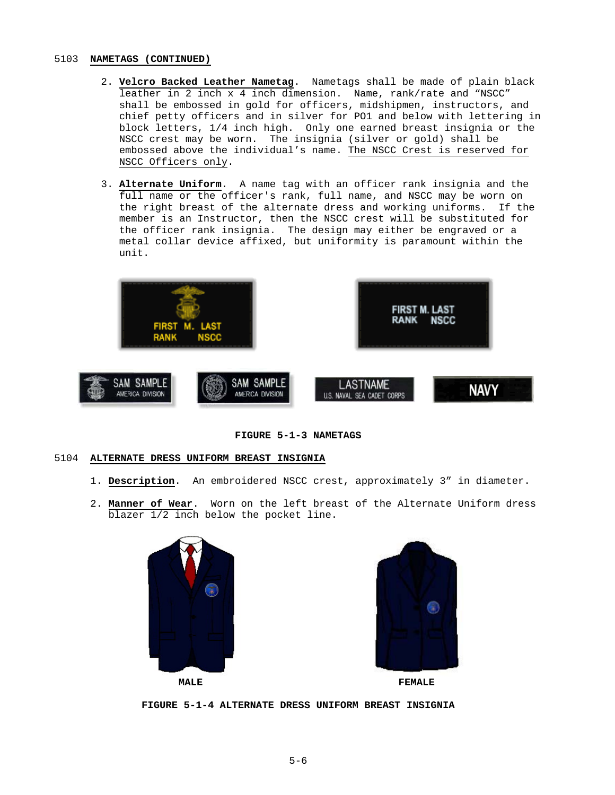## 5103 **NAMETAGS (CONTINUED)**

- 2. **Velcro Backed Leather Nametag**. Nametags shall be made of plain black leather in 2 inch x 4 inch dimension. Name, rank/rate and "NSCC" shall be embossed in gold for officers, midshipmen, instructors, and chief petty officers and in silver for PO1 and below with lettering in block letters, 1/4 inch high. Only one earned breast insignia or the NSCC crest may be worn. The insignia (silver or gold) shall be embossed above the individual's name. The NSCC Crest is reserved for NSCC Officers only.
- 3. **Alternate Uniform**. A name tag with an officer rank insignia and the full name or the officer's rank, full name, and NSCC may be worn on the right breast of the alternate dress and working uniforms. If the member is an Instructor, then the NSCC crest will be substituted for the officer rank insignia. The design may either be engraved or a metal collar device affixed, but uniformity is paramount within the unit.



# **FIGURE 5-1-3 NAMETAGS**

### 5104 **ALTERNATE DRESS UNIFORM BREAST INSIGNIA**

- 1. **Description**. An embroidered NSCC crest, approximately 3" in diameter.
- 2. **Manner of Wear**. Worn on the left breast of the Alternate Uniform dress blazer  $1/2$  inch below the pocket line.





**FIGURE 5-1-4 ALTERNATE DRESS UNIFORM BREAST INSIGNIA**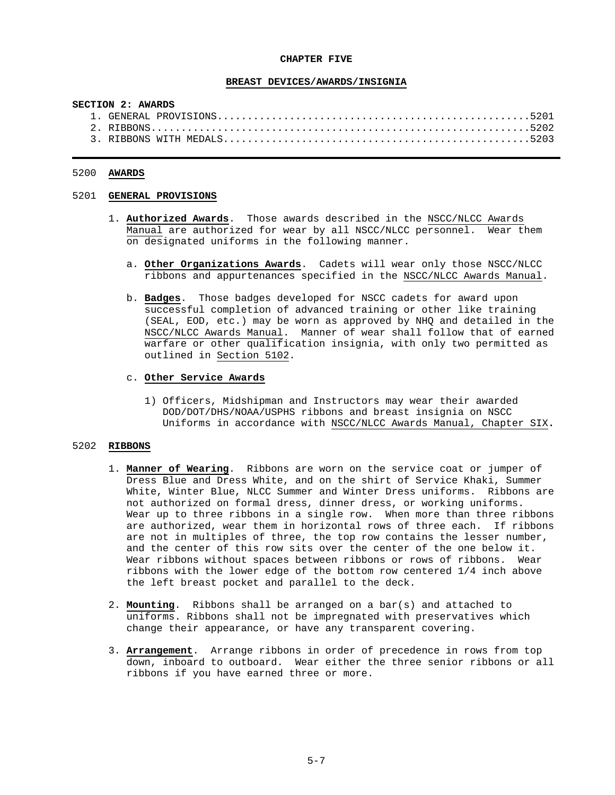## **BREAST DEVICES/AWARDS/INSIGNIA**

### **SECTION 2: AWARDS**

#### 5200 **AWARDS**

#### 5201 **GENERAL PROVISIONS**

- 1. **Authorized Awards**. Those awards described in the NSCC/NLCC Awards Manual are authorized for wear by all NSCC/NLCC personnel. Wear them on designated uniforms in the following manner.
	- a. **Other Organizations Awards**. Cadets will wear only those NSCC/NLCC ribbons and appurtenances specified in the NSCC/NLCC Awards Manual.
	- b. **Badges**. Those badges developed for NSCC cadets for award upon successful completion of advanced training or other like training (SEAL, EOD, etc.) may be worn as approved by NHQ and detailed in the NSCC/NLCC Awards Manual. Manner of wear shall follow that of earned warfare or other qualification insignia, with only two permitted as outlined in Section 5102.

#### c. **Other Service Awards**

1) Officers, Midshipman and Instructors may wear their awarded DOD/DOT/DHS/NOAA/USPHS ribbons and breast insignia on NSCC Uniforms in accordance with NSCC/NLCC Awards Manual, Chapter SIX**.** 

#### 5202 **RIBBONS**

- 1. **Manner of Wearing**. Ribbons are worn on the service coat or jumper of Dress Blue and Dress White, and on the shirt of Service Khaki, Summer White, Winter Blue, NLCC Summer and Winter Dress uniforms. Ribbons are not authorized on formal dress, dinner dress, or working uniforms. Wear up to three ribbons in a single row. When more than three ribbons are authorized, wear them in horizontal rows of three each. If ribbons are not in multiples of three, the top row contains the lesser number, and the center of this row sits over the center of the one below it. Wear ribbons without spaces between ribbons or rows of ribbons. Wear ribbons with the lower edge of the bottom row centered 1/4 inch above the left breast pocket and parallel to the deck.
- 2. **Mounting**. Ribbons shall be arranged on a bar(s) and attached to uniforms. Ribbons shall not be impregnated with preservatives which change their appearance, or have any transparent covering.
- 3. **Arrangement**. Arrange ribbons in order of precedence in rows from top down, inboard to outboard. Wear either the three senior ribbons or all ribbons if you have earned three or more.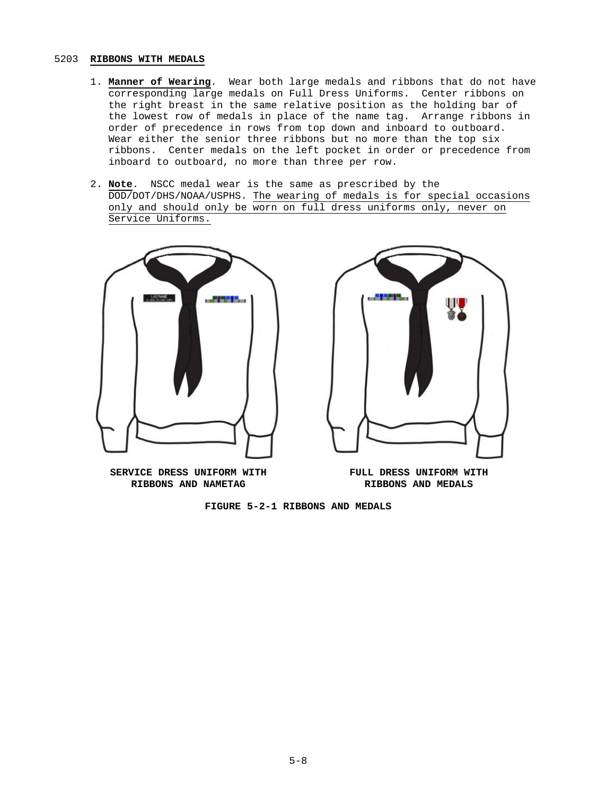### 5203 **RIBBONS WITH MEDALS**

- 1. **Manner of Wearing**. Wear both large medals and ribbons that do not have corresponding large medals on Full Dress Uniforms. Center ribbons on the right breast in the same relative position as the holding bar of the lowest row of medals in place of the name tag. Arrange ribbons in order of precedence in rows from top down and inboard to outboard. Wear either the senior three ribbons but no more than the top six ribbons. Center medals on the left pocket in order or precedence from inboard to outboard, no more than three per row.
- 2. **Note**. NSCC medal wear is the same as prescribed by the DOD/DOT/DHS/NOAA/USPHS. The wearing of medals is for special occasions only and should only be worn on full dress uniforms only, never on Service Uniforms.





**SERVICE DRESS UNIFORM WITH RIBBONS AND NAMETAG** 

**FULL DRESS UNIFORM WITH RIBBONS AND MEDALS** 

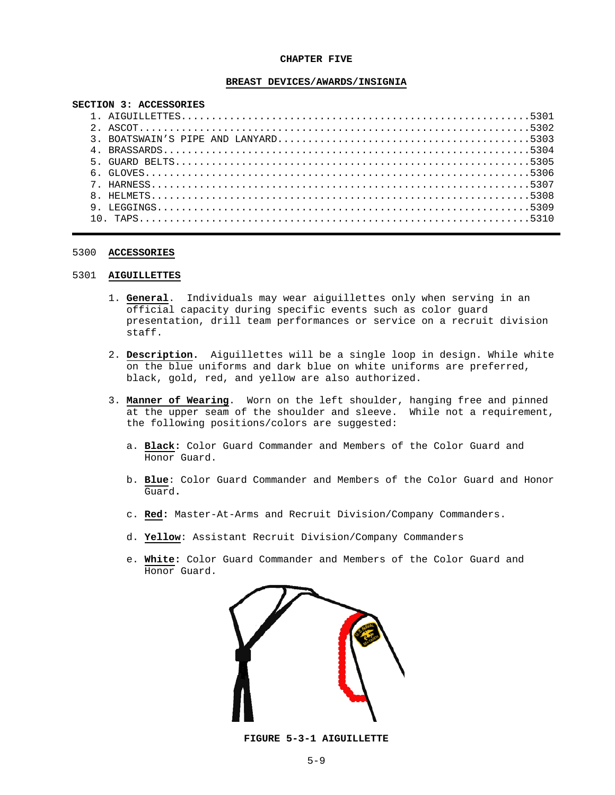## **BREAST DEVICES/AWARDS/INSIGNIA**

## **SECTION 3: ACCESSORIES**

# 5300 **ACCESSORIES**

### 5301 **AIGUILLETTES**

- 1. **General**. Individuals may wear aiguillettes only when serving in an official capacity during specific events such as color guard presentation, drill team performances or service on a recruit division staff.
- 2. **Description.** Aiguillettes will be a single loop in design. While white on the blue uniforms and dark blue on white uniforms are preferred, black, gold, red, and yellow are also authorized.
- 3. **Manner of Wearing**. Worn on the left shoulder, hanging free and pinned at the upper seam of the shoulder and sleeve. While not a requirement, the following positions/colors are suggested:
	- a. **Black:** Color Guard Commander and Members of the Color Guard and Honor Guard.
	- b. **Blue**: Color Guard Commander and Members of the Color Guard and Honor Guard**.**
	- c. **Red:** Master-At-Arms and Recruit Division/Company Commanders.
	- d. **Yellow**: Assistant Recruit Division/Company Commanders
	- e. **White:** Color Guard Commander and Members of the Color Guard and Honor Guard.



**FIGURE 5-3-1 AIGUILLETTE**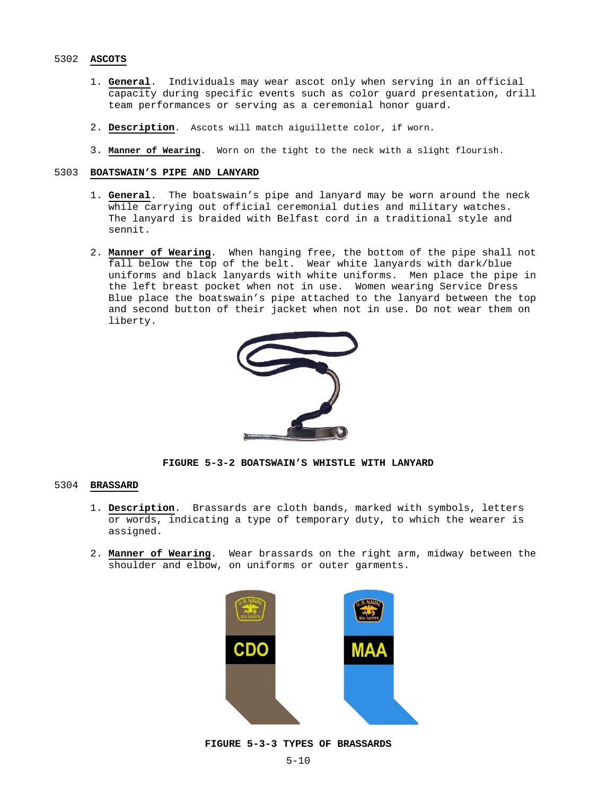## 5302 **ASCOTS**

- 1. **General**. Individuals may wear ascot only when serving in an official capacity during specific events such as color guard presentation, drill team performances or serving as a ceremonial honor guard.
- 2. **Description**. Ascots will match aiguillette color, if worn.
- 3. **Manner of Wearing**. Worn on the tight to the neck with a slight flourish.

#### 5303 **BOATSWAIN'S PIPE AND LANYARD**

- 1. **General**. The boatswain's pipe and lanyard may be worn around the neck while carrying out official ceremonial duties and military watches. The lanyard is braided with Belfast cord in a traditional style and sennit.
- 2. **Manner of Wearing**. When hanging free, the bottom of the pipe shall not fall below the top of the belt. Wear white lanyards with dark/blue uniforms and black lanyards with white uniforms. Men place the pipe in the left breast pocket when not in use. Women wearing Service Dress Blue place the boatswain's pipe attached to the lanyard between the top and second button of their jacket when not in use. Do not wear them on liberty.



**FIGURE 5-3-2 BOATSWAIN'S WHISTLE WITH LANYARD** 

# 5304 **BRASSARD**

- 1. **Description**. Brassards are cloth bands, marked with symbols, letters or words, indicating a type of temporary duty, to which the wearer is assigned.
- 2. **Manner of Wearing**. Wear brassards on the right arm, midway between the shoulder and elbow, on uniforms or outer garments.



#### **FIGURE 5-3-3 TYPES OF BRASSARDS**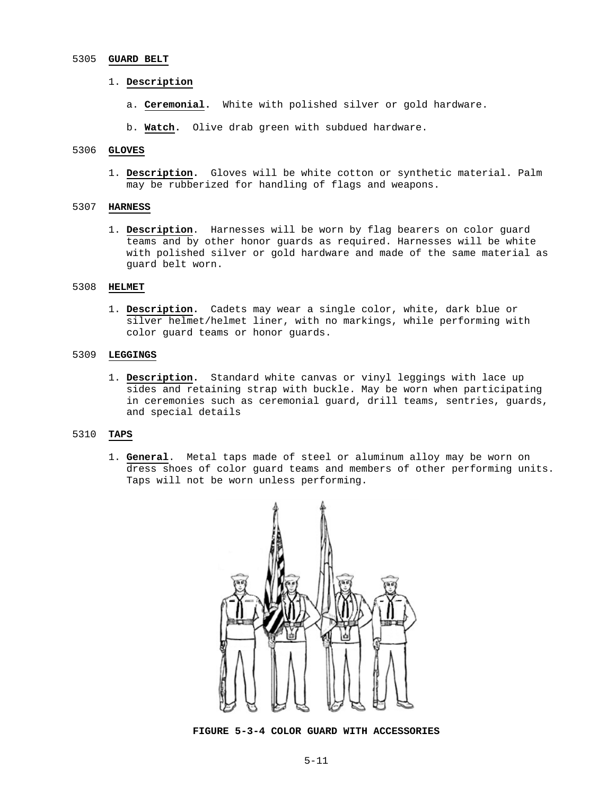### 5305 **GUARD BELT**

- 1. **Description** 
	- a. **Ceremonial.** White with polished silver or gold hardware.
	- b. **Watch.** Olive drab green with subdued hardware.

# 5306 **GLOVES**

1. **Description.** Gloves will be white cotton or synthetic material. Palm may be rubberized for handling of flags and weapons.

## 5307 **HARNESS**

1. **Description**. Harnesses will be worn by flag bearers on color guard teams and by other honor guards as required. Harnesses will be white with polished silver or gold hardware and made of the same material as guard belt worn.

## 5308 **HELMET**

1. **Description.** Cadets may wear a single color, white, dark blue or silver helmet/helmet liner, with no markings, while performing with color guard teams or honor guards.

## 5309 **LEGGINGS**

1. **Description.** Standard white canvas or vinyl leggings with lace up sides and retaining strap with buckle. May be worn when participating in ceremonies such as ceremonial guard, drill teams, sentries, guards, and special details

# 5310 **TAPS**

1. **General**. Metal taps made of steel or aluminum alloy may be worn on dress shoes of color guard teams and members of other performing units. Taps will not be worn unless performing.



**FIGURE 5-3-4 COLOR GUARD WITH ACCESSORIES**